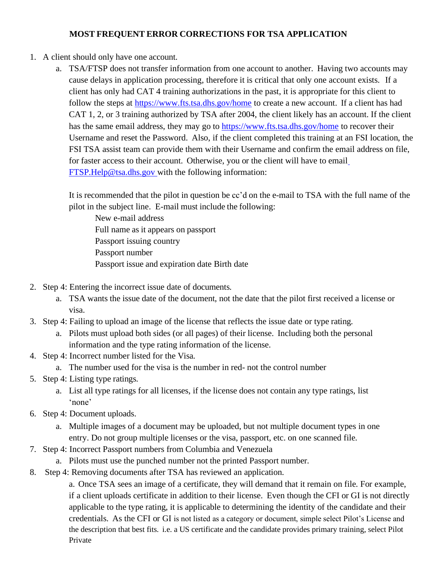## **MOST FREQUENT ERROR CORRECTIONS FOR TSA APPLICATION**

- 1. A client should only have one account.
	- a. TSA/FTSP does not transfer information from one account to another. Having two accounts may cause delays in application processing, therefore it is critical that only one account exists. If a client has only had CAT 4 training authorizations in the past, it is appropriate for this client to follow the steps at <https://www.fts.tsa.dhs.gov/home> to create a new account. If a client has had CAT 1, 2, or 3 training authorized by TSA after 2004, the client likely has an account. If the client has the same email address, they may go to <https://www.fts.tsa.dhs.gov/home> to recover their Username and reset the Password. Also, if the client completed this training at an FSI location, the FSI TSA assist team can provide them with their Username and confirm the email address on file, for faster access to their account. Otherwise, you or the client will have to email [FTSP.Help@tsa.dhs.gov](mailto:FTSP.Help@tsa.dhs.gov) with the following information:

It is recommended that the pilot in question be cc'd on the e-mail to TSA with the full name of the pilot in the subject line. E-mail must include the following:

New e-mail address Full name as it appears on passport Passport issuing country Passport number Passport issue and expiration date Birth date

- 2. Step 4: Entering the incorrect issue date of documents.
	- a. TSA wants the issue date of the document, not the date that the pilot first received a license or visa.
- 3. Step 4: Failing to upload an image of the license that reflects the issue date or type rating.
	- a. Pilots must upload both sides (or all pages) of their license. Including both the personal information and the type rating information of the license.
- 4. Step 4: Incorrect number listed for the Visa.
	- a. The number used for the visa is the number in red- not the control number
- 5. Step 4: Listing type ratings.
	- a. List all type ratings for all licenses, if the license does not contain any type ratings, list 'none'
- 6. Step 4: Document uploads.
	- a. Multiple images of a document may be uploaded, but not multiple document types in one entry. Do not group multiple licenses or the visa, passport, etc. on one scanned file.
- 7. Step 4: Incorrect Passport numbers from Columbia and Venezuela
	- a. Pilots must use the punched number not the printed Passport number.
- 8. Step 4: Removing documents after TSA has reviewed an application.

a. Once TSA sees an image of a certificate, they will demand that it remain on file. For example, if a client uploads certificate in addition to their license. Even though the CFI or GI is not directly applicable to the type rating, it is applicable to determining the identity of the candidate and their credentials. As the CFI or GI is not listed as a category or document, simple select Pilot's License and the description that best fits. i.e. a US certificate and the candidate provides primary training, select Pilot Private